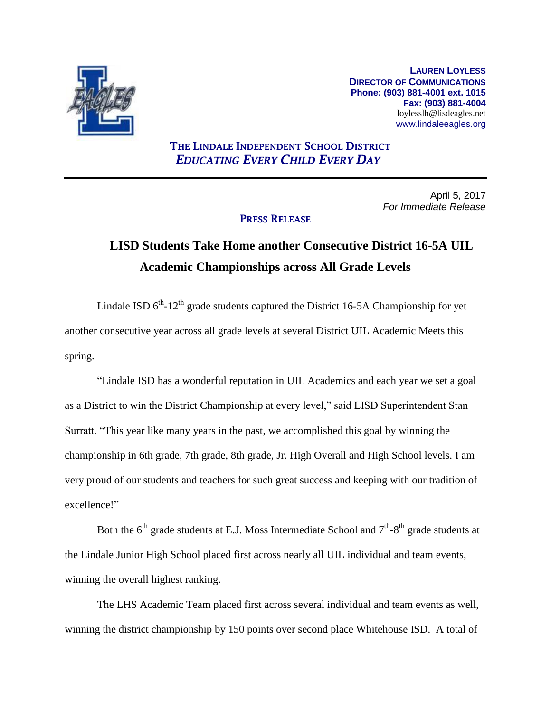

**LAUREN LOYLESS DIRECTOR OF COMMUNICATIONS Phone: (903) 881-4001 ext. 1015 Fax: (903) 881-4004** loylesslh@lisdeagles.net www.lindaleeagles.org

## **THE LINDALE INDEPENDENT SCHOOL DISTRICT** *EDUCATING EVERY CHILD EVERY DAY*

April 5, 2017 *For Immediate Release*

### **PRESS RELEASE**

# **LISD Students Take Home another Consecutive District 16-5A UIL Academic Championships across All Grade Levels**

Lindale ISD  $6^{th}$ -12<sup>th</sup> grade students captured the District 16-5A Championship for yet another consecutive year across all grade levels at several District UIL Academic Meets this spring.

"Lindale ISD has a wonderful reputation in UIL Academics and each year we set a goal as a District to win the District Championship at every level," said LISD Superintendent Stan Surratt. "This year like many years in the past, we accomplished this goal by winning the championship in 6th grade, 7th grade, 8th grade, Jr. High Overall and High School levels. I am very proud of our students and teachers for such great success and keeping with our tradition of excellence!"

Both the  $6<sup>th</sup>$  grade students at E.J. Moss Intermediate School and  $7<sup>th</sup>$ -8<sup>th</sup> grade students at the Lindale Junior High School placed first across nearly all UIL individual and team events, winning the overall highest ranking.

The LHS Academic Team placed first across several individual and team events as well, winning the district championship by 150 points over second place Whitehouse ISD. A total of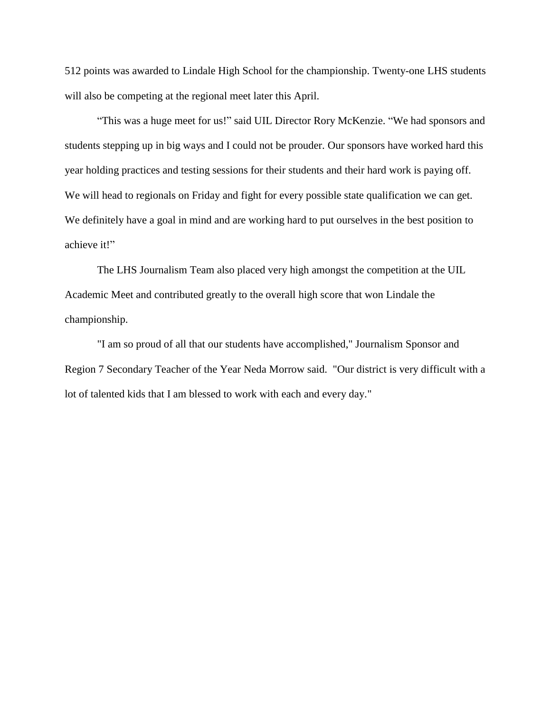512 points was awarded to Lindale High School for the championship. Twenty-one LHS students will also be competing at the regional meet later this April.

"This was a huge meet for us!" said UIL Director Rory McKenzie. "We had sponsors and students stepping up in big ways and I could not be prouder. Our sponsors have worked hard this year holding practices and testing sessions for their students and their hard work is paying off. We will head to regionals on Friday and fight for every possible state qualification we can get. We definitely have a goal in mind and are working hard to put ourselves in the best position to achieve it!"

The LHS Journalism Team also placed very high amongst the competition at the UIL Academic Meet and contributed greatly to the overall high score that won Lindale the championship.

"I am so proud of all that our students have accomplished," Journalism Sponsor and Region 7 Secondary Teacher of the Year Neda Morrow said. "Our district is very difficult with a lot of talented kids that I am blessed to work with each and every day."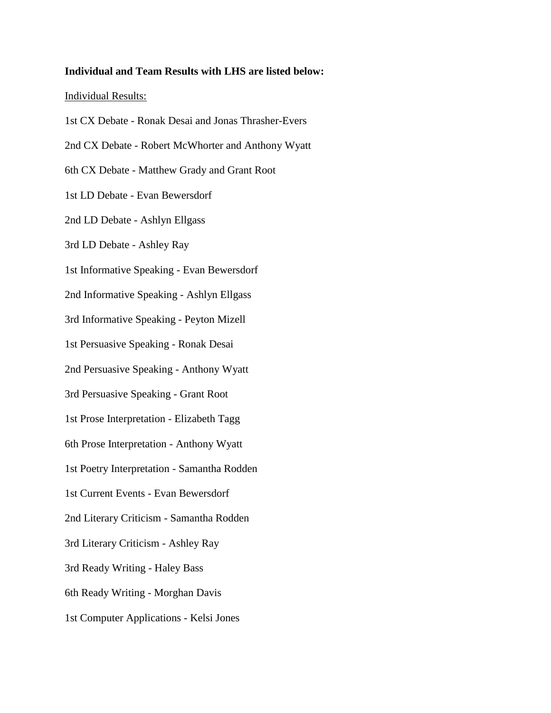#### **Individual and Team Results with LHS are listed below:**

#### Individual Results:

1st CX Debate - Ronak Desai and Jonas Thrasher-Evers 2nd CX Debate - Robert McWhorter and Anthony Wyatt 6th CX Debate - Matthew Grady and Grant Root 1st LD Debate - Evan Bewersdorf 2nd LD Debate - Ashlyn Ellgass

3rd LD Debate - Ashley Ray

1st Informative Speaking - Evan Bewersdorf

2nd Informative Speaking - Ashlyn Ellgass

3rd Informative Speaking - Peyton Mizell

1st Persuasive Speaking - Ronak Desai

2nd Persuasive Speaking - Anthony Wyatt

3rd Persuasive Speaking - Grant Root

1st Prose Interpretation - Elizabeth Tagg

6th Prose Interpretation - Anthony Wyatt

1st Poetry Interpretation - Samantha Rodden

1st Current Events - Evan Bewersdorf

2nd Literary Criticism - Samantha Rodden

3rd Literary Criticism - Ashley Ray

3rd Ready Writing - Haley Bass

6th Ready Writing - Morghan Davis

1st Computer Applications - Kelsi Jones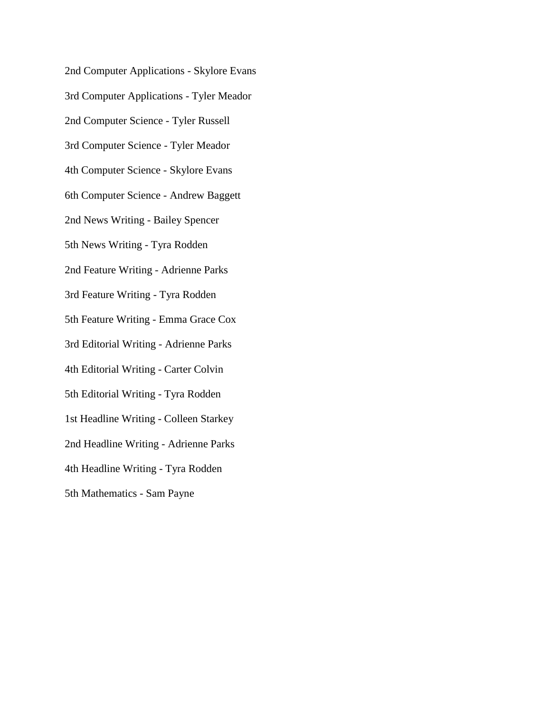2nd Computer Applications - Skylore Evans 3rd Computer Applications - Tyler Meador 2nd Computer Science - Tyler Russell 3rd Computer Science - Tyler Meador 4th Computer Science - Skylore Evans 6th Computer Science - Andrew Baggett 2nd News Writing - Bailey Spencer 5th News Writing - Tyra Rodden 2nd Feature Writing - Adrienne Parks 3rd Feature Writing - Tyra Rodden 5th Feature Writing - Emma Grace Cox 3rd Editorial Writing - Adrienne Parks 4th Editorial Writing - Carter Colvin 5th Editorial Writing - Tyra Rodden 1st Headline Writing - Colleen Starkey 2nd Headline Writing - Adrienne Parks 4th Headline Writing - Tyra Rodden 5th Mathematics - Sam Payne